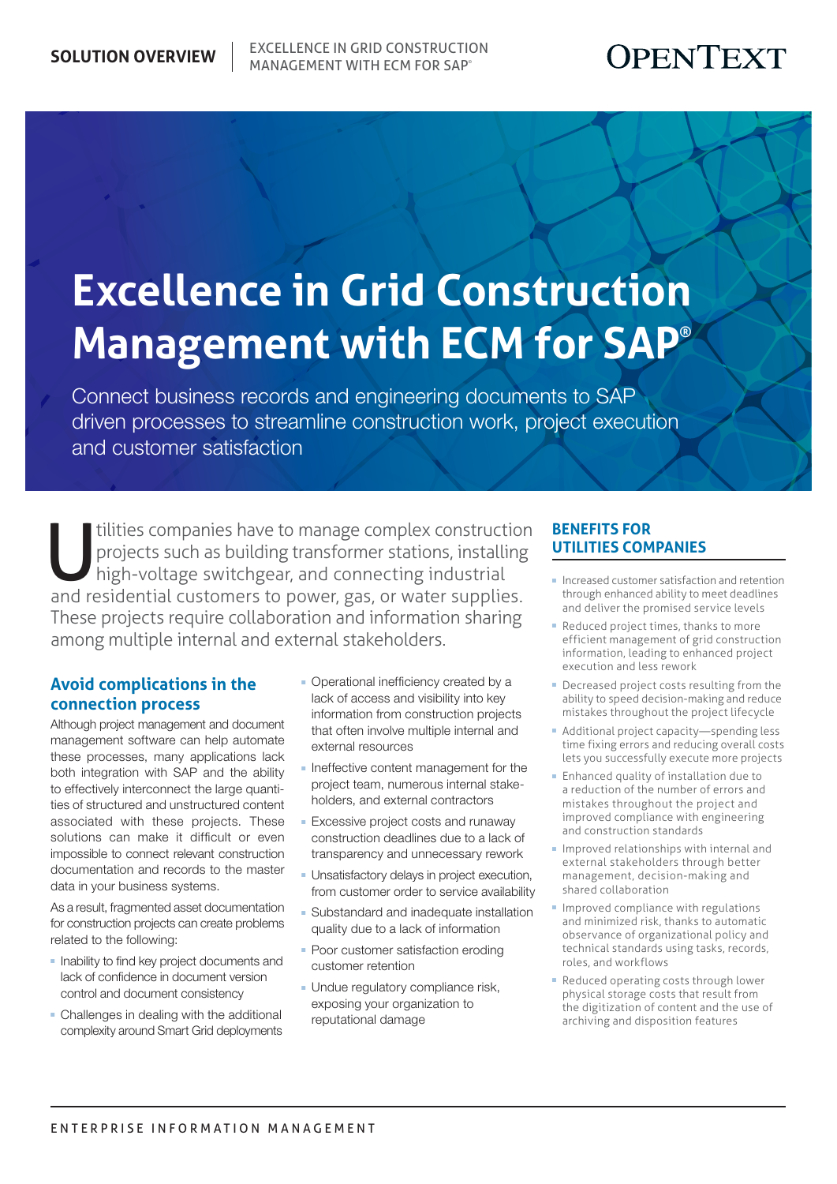## OPENTEXT

# **Excellence in Grid Construction Management with ECM for SAP®**

Connect business records and engineering documents to SAP driven processes to streamline construction work, project execution and customer satisfaction

tilities companies have to manage complex construction<br>projects such as building transformer stations, installing<br>high-voltage switchgear, and connecting industrial<br>and rosidential customers to power ass, or water supplies projects such as building transformer stations, installing high-voltage switchgear, and connecting industrial and residential customers to power, gas, or water supplies. These projects require collaboration and information sharing among multiple internal and external stakeholders.

#### **Avoid complications in the connection process**

Although project management and document management software can help automate these processes, many applications lack both integration with SAP and the ability to effectively interconnect the large quantities of structured and unstructured content associated with these projects. These solutions can make it difficult or even impossible to connect relevant construction documentation and records to the master data in your business systems.

As a result, fragmented asset documentation for construction projects can create problems related to the following:

- **Inability to find key project documents and** lack of confidence in document version control and document consistency
- **-** Challenges in dealing with the additional complexity around Smart Grid deployments
- **Operational inefficiency created by a** lack of access and visibility into key information from construction projects that often involve multiple internal and external resources
- **n** Ineffective content management for the project team, numerous internal stakeholders, and external contractors
- **Excessive project costs and runaway** construction deadlines due to a lack of transparency and unnecessary rework
- **-** Unsatisfactory delays in project execution, from customer order to service availability
- Substandard and inadequate installation quality due to a lack of information
- Poor customer satisfaction eroding customer retention
- **Undue regulatory compliance risk,** exposing your organization to reputational damage

#### **Benefits for utilities companies**

- <sup>n</sup> Increased customer satisfaction and retention through enhanced ability to meet deadlines and deliver the promised service levels
- Reduced project times, thanks to more efficient management of grid construction information, leading to enhanced project execution and less rework
- **Decreased project costs resulting from the** ability to speed decision-making and reduce mistakes throughout the project lifecycle
- Additional project capacity—spending less time fixing errors and reducing overall costs lets you successfully execute more projects
- **Enhanced quality of installation due to** a reduction of the number of errors and mistakes throughout the project and improved compliance with engineering and construction standards
- Improved relationships with internal and external stakeholders through better management, decision-making and shared collaboration
- $\blacksquare$  Improved compliance with regulations and minimized risk, thanks to automatic observance of organizational policy and technical standards using tasks, records, roles, and workflows
- Reduced operating costs through lower physical storage costs that result from the digitization of content and the use of archiving and disposition features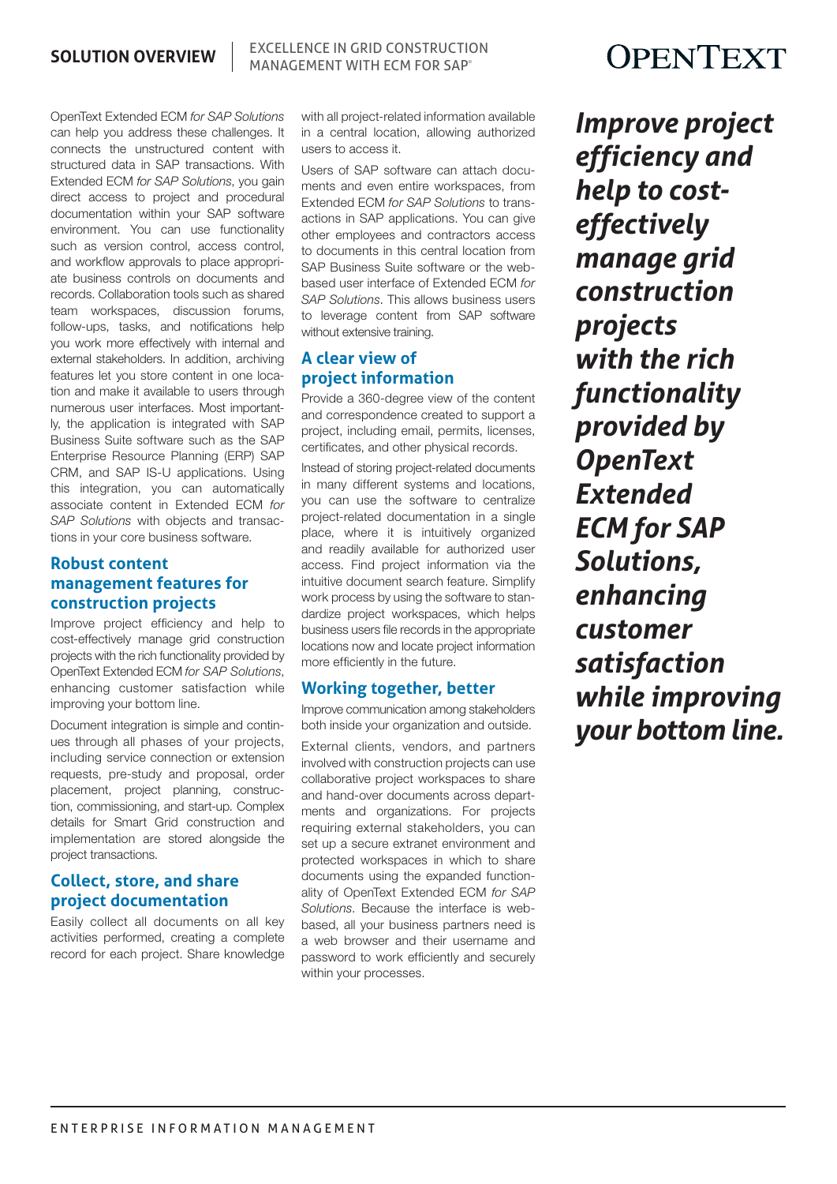**SOLUTION OVERVIEW EXCELLENCE IN GRID CONSTRUCTION** Management with ECM for SAP®

OpenText Extended ECM *for SAP Solutions*  can help you address these challenges. It connects the unstructured content with structured data in SAP transactions. With Extended ECM *for SAP Solutions*, you gain direct access to project and procedural documentation within your SAP software environment. You can use functionality such as version control, access control, and workflow approvals to place appropriate business controls on documents and records. Collaboration tools such as shared team workspaces, discussion forums, follow-ups, tasks, and notifications help you work more effectively with internal and external stakeholders. In addition, archiving features let you store content in one location and make it available to users through numerous user interfaces. Most importantly, the application is integrated with SAP Business Suite software such as the SAP Enterprise Resource Planning (ERP) SAP CRM, and SAP IS-U applications. Using this integration, you can automatically associate content in Extended ECM *for SAP Solutions* with objects and transactions in your core business software.

#### **Robust content management features for construction projects**

Improve project efficiency and help to cost-effectively manage grid construction projects with the rich functionality provided by OpenText Extended ECM *for SAP Solutions*, enhancing customer satisfaction while improving your bottom line.

Document integration is simple and continues through all phases of your projects, including service connection or extension requests, pre-study and proposal, order placement, project planning, construction, commissioning, and start-up. Complex details for Smart Grid construction and implementation are stored alongside the project transactions.

#### **Collect, store, and share project documentation**

Easily collect all documents on all key activities performed, creating a complete record for each project. Share knowledge with all project-related information available in a central location, allowing authorized users to access it.

Users of SAP software can attach documents and even entire workspaces, from Extended ECM *for SAP Solutions* to transactions in SAP applications. You can give other employees and contractors access to documents in this central location from SAP Business Suite software or the webbased user interface of Extended ECM *for SAP Solutions*. This allows business users to leverage content from SAP software without extensive training.

### **A clear view of project information**

Provide a 360-degree view of the content and correspondence created to support a project, including email, permits, licenses, certificates, and other physical records.

Instead of storing project-related documents in many different systems and locations, you can use the software to centralize project-related documentation in a single place, where it is intuitively organized and readily available for authorized user access. Find project information via the intuitive document search feature. Simplify work process by using the software to standardize project workspaces, which helps business users file records in the appropriate locations now and locate project information more efficiently in the future.

#### **Working together, better**

Improve communication among stakeholders both inside your organization and outside.

External clients, vendors, and partners involved with construction projects can use collaborative project workspaces to share and hand-over documents across departments and organizations. For projects requiring external stakeholders, you can set up a secure extranet environment and protected workspaces in which to share documents using the expanded functionality of OpenText Extended ECM *for SAP Solutions*. Because the interface is webbased, all your business partners need is a web browser and their username and password to work efficiently and securely within your processes.

## **OPENTEXT**

*Improve project efficiency and help to costeffectively manage grid construction projects with the rich functionality provided by OpenText Extended ECM for SAP Solutions, enhancing customer satisfaction while improving your bottom line.*